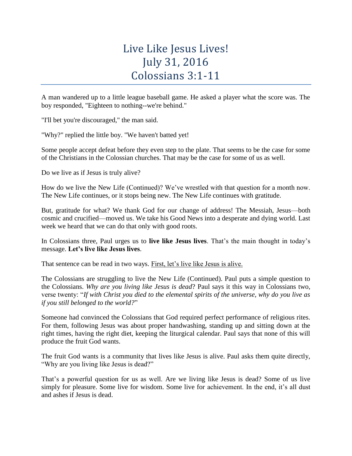## Live Like Jesus Lives! July 31, 2016 Colossians 3:1-11

A man wandered up to a little league baseball game. He asked a player what the score was. The boy responded, "Eighteen to nothing--we're behind."

"I'll bet you're discouraged," the man said.

"Why?" replied the little boy. "We haven't batted yet!

Some people accept defeat before they even step to the plate. That seems to be the case for some of the Christians in the Colossian churches. That may be the case for some of us as well.

Do we live as if Jesus is truly alive?

How do we live the New Life (Continued)? We've wrestled with that question for a month now. The New Life continues, or it stops being new. The New Life continues with gratitude.

But, gratitude for what? We thank God for our change of address! The Messiah, Jesus—both cosmic and crucified—moved us. We take his Good News into a desperate and dying world. Last week we heard that we can do that only with good roots.

In Colossians three, Paul urges us to **live like Jesus lives**. That's the main thought in today's message. **Let's live like Jesus lives**.

That sentence can be read in two ways. First, let's live like Jesus is alive.

The Colossians are struggling to live the New Life (Continued). Paul puts a simple question to the Colossians. *Why are you living like Jesus is dead*? Paul says it this way in Colossians two, verse twenty: "*If with Christ you died to the elemental spirits of the universe, why do you live as if you still belonged to the world?*"

Someone had convinced the Colossians that God required perfect performance of religious rites. For them, following Jesus was about proper handwashing, standing up and sitting down at the right times, having the right diet, keeping the liturgical calendar. Paul says that none of this will produce the fruit God wants.

The fruit God wants is a community that lives like Jesus is alive. Paul asks them quite directly, "Why are you living like Jesus is dead?"

That's a powerful question for us as well. Are we living like Jesus is dead? Some of us live simply for pleasure. Some live for wisdom. Some live for achievement. In the end, it's all dust and ashes if Jesus is dead.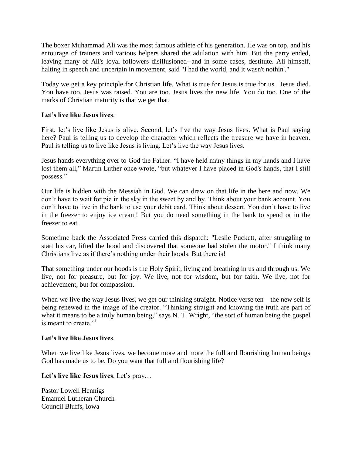The boxer Muhammad Ali was the most famous athlete of his generation. He was on top, and his entourage of trainers and various helpers shared the adulation with him. But the party ended, leaving many of Ali's loyal followers disillusioned--and in some cases, destitute. Ali himself, halting in speech and uncertain in movement, said "I had the world, and it wasn't nothin'."

Today we get a key principle for Christian life. What is true for Jesus is true for us. Jesus died. You have too. Jesus was raised. You are too. Jesus lives the new life. You do too. One of the marks of Christian maturity is that we get that.

## **Let's live like Jesus lives**.

First, let's live like Jesus is alive. Second, let's live the way Jesus lives. What is Paul saying here? Paul is telling us to develop the character which reflects the treasure we have in heaven. Paul is telling us to live like Jesus is living. Let's live the way Jesus lives.

Jesus hands everything over to God the Father. "I have held many things in my hands and I have lost them all," Martin Luther once wrote, "but whatever I have placed in God's hands, that I still possess."

Our life is hidden with the Messiah in God. We can draw on that life in the here and now. We don't have to wait for pie in the sky in the sweet by and by. Think about your bank account. You don't have to live in the bank to use your debit card. Think about dessert. You don't have to live in the freezer to enjoy ice cream! But you do need something in the bank to spend or in the freezer to eat.

Sometime back the Associated Press carried this dispatch: "Leslie Puckett, after struggling to start his car, lifted the hood and discovered that someone had stolen the motor." I think many Christians live as if there's nothing under their hoods. But there is!

That something under our hoods is the Holy Spirit, living and breathing in us and through us. We live, not for pleasure, but for joy. We live, not for wisdom, but for faith. We live, not for achievement, but for compassion.

When we live the way Jesus lives, we get our thinking straight. Notice verse ten—the new self is being renewed in the image of the creator. "Thinking straight and knowing the truth are part of what it means to be a truly human being," says N. T. Wright, "the sort of human being the gospel is meant to create."<sup>i</sup>

## **Let's live like Jesus lives**.

When we live like Jesus lives, we become more and more the full and flourishing human beings God has made us to be. Do you want that full and flourishing life?

**Let's live like Jesus lives**. Let's pray…

Pastor Lowell Hennigs Emanuel Lutheran Church Council Bluffs, Iowa